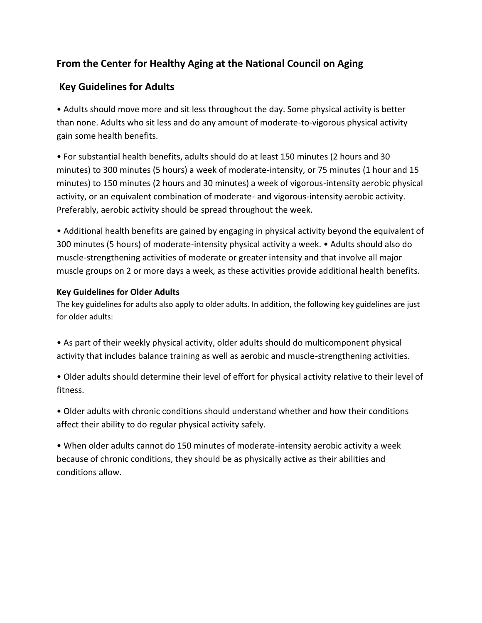## **From the Center for Healthy Aging at the National Council on Aging**

## **Key Guidelines for Adults**

• Adults should move more and sit less throughout the day. Some physical activity is better than none. Adults who sit less and do any amount of moderate-to-vigorous physical activity gain some health benefits.

• For substantial health benefits, adults should do at least 150 minutes (2 hours and 30 minutes) to 300 minutes (5 hours) a week of moderate-intensity, or 75 minutes (1 hour and 15 minutes) to 150 minutes (2 hours and 30 minutes) a week of vigorous-intensity aerobic physical activity, or an equivalent combination of moderate- and vigorous-intensity aerobic activity. Preferably, aerobic activity should be spread throughout the week.

• Additional health benefits are gained by engaging in physical activity beyond the equivalent of 300 minutes (5 hours) of moderate-intensity physical activity a week. • Adults should also do muscle-strengthening activities of moderate or greater intensity and that involve all major muscle groups on 2 or more days a week, as these activities provide additional health benefits.

## **Key Guidelines for Older Adults**

The key guidelines for adults also apply to older adults. In addition, the following key guidelines are just for older adults:

• As part of their weekly physical activity, older adults should do multicomponent physical activity that includes balance training as well as aerobic and muscle-strengthening activities.

• Older adults should determine their level of effort for physical activity relative to their level of fitness.

• Older adults with chronic conditions should understand whether and how their conditions affect their ability to do regular physical activity safely.

• When older adults cannot do 150 minutes of moderate-intensity aerobic activity a week because of chronic conditions, they should be as physically active as their abilities and conditions allow.